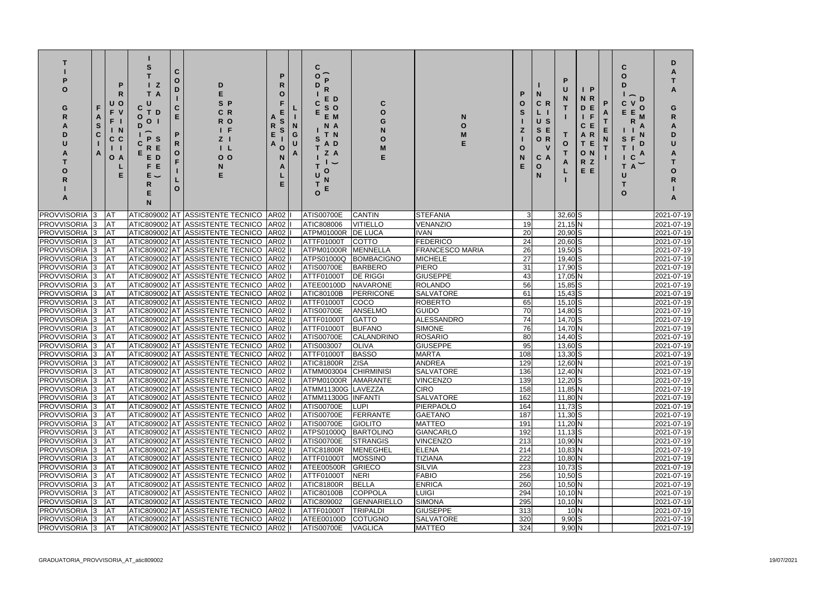| U<br>F<br>F.<br>Α<br>F.<br>S<br>C.<br>$\mathbf{O}$                    | Р<br>R.<br>$\mathbf O$<br><sub>N</sub><br>$\mathbf{C}$<br>A | - Z<br>T.<br>C<br>T D<br>O<br>$\mathbf{O}$<br>D<br>P S<br>R E<br>E D<br>E<br>F.<br>E. | C.<br>O<br>D<br>C.<br>E.<br>P<br>R.<br>$\mathbf{o}$<br>F.<br>O | D<br>C R<br>R O<br>ΙF<br>Z <sub>1</sub><br>$\mathsf{L}$<br>0 <sub>o</sub>            | O<br>O                     | G<br>U | С<br>E D<br>S O<br>E M<br>N A<br>T N<br>A D<br>Z A<br>O |                        |                                           |            | N<br>C R<br>U S<br>S.<br>O R<br>C A<br>Ο<br>N | P<br>O                                  | $\mathsf{I}$ $\mathsf{P}$<br>N R<br>D<br>E<br>F<br>С<br>$\mathbb{R}$<br>A<br>T E<br>O N<br>R Z<br>E E | P<br>N | $\overline{\phantom{0}}$<br>D<br>$\mathbf O$<br>E<br>Е<br>S<br>D<br>C<br>T.<br>A | D<br>G<br>R.<br>O        |
|-----------------------------------------------------------------------|-------------------------------------------------------------|---------------------------------------------------------------------------------------|----------------------------------------------------------------|--------------------------------------------------------------------------------------|----------------------------|--------|---------------------------------------------------------|------------------------|-------------------------------------------|------------|-----------------------------------------------|-----------------------------------------|-------------------------------------------------------------------------------------------------------|--------|----------------------------------------------------------------------------------|--------------------------|
| PROVVISORIA<br><b>AT</b>                                              |                                                             |                                                                                       |                                                                | ATIC809002 AT ASSISTENTE TECNICO                                                     | <b>AR02</b>                |        | <b>ATIS00700E</b>                                       | <b>CANTIN</b>          | <b>STEFANIA</b>                           |            |                                               | $32,60$ S                               |                                                                                                       |        |                                                                                  | 2021-07-19               |
| <b>PROVVISORIA</b><br><b>AT</b><br>13                                 |                                                             |                                                                                       |                                                                | ATIC809002 AT ASSISTENTE TECNICO                                                     | <b>AR02</b>                |        | <b>ATIC808006</b>                                       | VITIELLO               | <b>VENANZIO</b>                           | 19         |                                               | $21,15$ N                               |                                                                                                       |        |                                                                                  | 2021-07-19               |
| <b>PROVVISORIA</b> 3<br><b>AT</b>                                     |                                                             |                                                                                       |                                                                | ATIC809002 AT ASSISTENTE TECNICO                                                     | AR <sub>02</sub>           |        | ATPM01000R                                              | <b>DE LUCA</b>         | <b>IVAN</b>                               | 20         |                                               | $20,90$ S                               |                                                                                                       |        |                                                                                  | 2021-07-19               |
| <b>PROVVISORIA</b> 3<br><b>JAT</b>                                    |                                                             |                                                                                       |                                                                | ATIC809002 AT ASSISTENTE TECNICO                                                     | AR <sub>02</sub>           |        | ATTF01000T                                              | <b>COTTO</b>           | <b>FEDERICO</b><br><b>FRANCESCO MARIA</b> | 24         |                                               | $20,60$ S                               |                                                                                                       |        |                                                                                  | 2021-07-19               |
| PROVVISORIA 3<br><b>JAT</b><br><b>PROVVISORIA</b><br><b>AT</b><br>l3. |                                                             |                                                                                       |                                                                | ATIC809002 AT ASSISTENTE TECNICO<br>ATIC809002 AT ASSISTENTE TECNICO                 | <b>AR02</b><br><b>AR02</b> |        | ATPM01000R<br>ATPS01000Q                                | MENNELLA<br>BOMBACIGNO | <b>MICHELE</b>                            | 26<br>27   |                                               | 19,50 S<br>19,40 S                      |                                                                                                       |        |                                                                                  | 2021-07-19<br>2021-07-19 |
| <b>PROVVISORIA</b><br><b>AT</b><br>3                                  |                                                             |                                                                                       |                                                                | ATIC809002 AT ASSISTENTE TECNICO                                                     | <b>AR02</b>                |        | ATIS00700E                                              | <b>BARBERO</b>         | <b>PIERO</b>                              | 31         |                                               | 17,90 S                                 |                                                                                                       |        |                                                                                  | 2021-07-19               |
| <b>PROVVISORIA</b><br><b>AT</b><br>13                                 |                                                             |                                                                                       |                                                                | ATIC809002 AT ASSISTENTE TECNICO                                                     | AR <sub>02</sub>           |        | ATTF01000T                                              | <b>DE RIGGI</b>        | <b>GIUSEPPE</b>                           | 43         |                                               | $17,05$ N                               |                                                                                                       |        |                                                                                  | 2021-07-19               |
| PROVVISORIA 3<br><b>AT</b>                                            |                                                             |                                                                                       |                                                                | ATIC809002 AT ASSISTENTE TECNICO                                                     | AR <sub>02</sub>           |        | ATEE00100D                                              | <b>NAVARONE</b>        | <b>ROLANDO</b>                            | 56         |                                               | $15,85$ S                               |                                                                                                       |        |                                                                                  | 2021-07-19               |
| <b>PROVVISORIA 3</b><br><b>JAT</b>                                    |                                                             |                                                                                       |                                                                | ATIC809002 AT ASSISTENTE TECNICO                                                     | AR <sub>02</sub>           |        | ATIC80100B                                              | PERRICONE              | <b>SALVATORE</b>                          | 61         |                                               | $15,43$ S                               |                                                                                                       |        |                                                                                  | 2021-07-19               |
| PROVVISORIA 3<br><b>JAT</b>                                           |                                                             |                                                                                       |                                                                | ATIC809002 AT ASSISTENTE TECNICO                                                     | AR <sub>02</sub>           |        | ATTF01000T                                              | <b>COCO</b>            | <b>ROBERTO</b>                            | 65         |                                               | $15,10$ S                               |                                                                                                       |        |                                                                                  | 2021-07-19               |
| <b>PROVVISORIA</b> 3<br><b>JAT</b>                                    |                                                             |                                                                                       |                                                                | ATIC809002 AT ASSISTENTE TECNICO                                                     | AR <sub>02</sub>           |        | <b>ATIS00700E</b>                                       | ANSELMO                | <b>GUIDO</b>                              | 70         |                                               | 14,80 S                                 |                                                                                                       |        |                                                                                  | 2021-07-19               |
| PROVVISORIA 3<br><b>JAT</b>                                           |                                                             |                                                                                       |                                                                | ATIC809002 AT ASSISTENTE TECNICO                                                     | AR <sub>02</sub>           |        | ATTF01000T                                              | <b>GATTO</b>           | <b>ALESSANDRO</b>                         | 74         |                                               | 14,70 S                                 |                                                                                                       |        |                                                                                  | 2021-07-19               |
| <b>PROVVISORIA 3</b><br><b>JAT</b>                                    |                                                             |                                                                                       |                                                                | ATIC809002 AT ASSISTENTE TECNICO                                                     | AR <sub>02</sub>           |        | ATTF01000T                                              | <b>BUFANO</b>          | <b>SIMONE</b>                             | 76         |                                               | 14,70 N                                 |                                                                                                       |        |                                                                                  | 2021-07-19               |
| <b>PROVVISORIA</b><br><b>JAT</b>                                      |                                                             |                                                                                       |                                                                | ATIC809002 AT ASSISTENTE TECNICO                                                     | AR <sub>02</sub>           |        | <b>ATIS00700E</b>                                       | <b>CALANDRINO</b>      | <b>ROSARIO</b>                            | 80         |                                               | $14,40$ S                               |                                                                                                       |        |                                                                                  | 2021-07-19               |
| <b>PROVVISORIA</b><br><b>JAT</b><br>IЗ                                |                                                             |                                                                                       |                                                                | ATIC809002 AT ASSISTENTE TECNICO AR02                                                |                            |        | ATIS003007                                              | <b>OLIVA</b>           | <b>GIUSEPPE</b>                           | 95         |                                               | $13,60$ S                               |                                                                                                       |        |                                                                                  | 2021-07-19               |
| <b>PROVVISORIA 3</b><br><b>JAT</b>                                    |                                                             |                                                                                       |                                                                | ATIC809002 AT ASSISTENTE TECNICO AR02                                                |                            |        | ATTF01000T                                              | <b>BASSO</b>           | <b>MARTA</b>                              | 108        |                                               | $13,30$ S                               |                                                                                                       |        |                                                                                  | 2021-07-19               |
| PROVVISORIA 3 AT                                                      |                                                             |                                                                                       |                                                                | ATIC809002 AT ASSISTENTE TECNICO AR02  I                                             |                            |        | ATIC81800R ZISA                                         |                        | ANDREA                                    | 129        |                                               | $12,60$ N                               |                                                                                                       |        |                                                                                  | 2021-07-19               |
| PROVVISORIA 3 AT<br>PROVVISORIA 3 AT                                  |                                                             |                                                                                       |                                                                | ATIC809002 AT ASSISTENTE TECNICO AR02  I<br>ATIC809002 AT ASSISTENTE TECNICO AR02 II |                            |        | ATMM003004 CHIRMINISI<br>ATPM01000R AMARANTE            |                        | <b>SALVATORE</b><br><b>VINCENZO</b>       | 136<br>139 |                                               | $12,40$ N<br>$12,20$ S                  |                                                                                                       |        |                                                                                  | 2021-07-19<br>2021-07-19 |
| PROVVISORIA 3 AT                                                      |                                                             |                                                                                       |                                                                | ATIC809002 AT ASSISTENTE TECNICO AR02                                                |                            |        | ATMM11300G LAVEZZA                                      |                        | <b>CIRO</b>                               | 158        |                                               | $11,85$ N                               |                                                                                                       |        |                                                                                  | $\sqrt{2021-07-19}$      |
| <b>PROVVISORIA 3</b><br><b>JAT</b>                                    |                                                             |                                                                                       |                                                                | ATIC809002 AT ASSISTENTE TECNICO AR02                                                |                            |        | ATMM11300G INFANTI                                      |                        | <b>SALVATORE</b>                          | 162        |                                               | $11,80$ N                               |                                                                                                       |        |                                                                                  | 2021-07-19               |
| <b>PROVVISORIA</b> 3<br><b>JAT</b>                                    |                                                             |                                                                                       |                                                                | ATIC809002 AT ASSISTENTE TECNICO AR02                                                |                            |        | <b>ATIS00700E</b>                                       | <b>LUPI</b>            | PIERPAOLO                                 | 164        |                                               | $11,73$ $S$                             |                                                                                                       |        |                                                                                  | $\overline{2021}$ -07-19 |
| PROVVISORIA 3<br><b>AT</b>                                            |                                                             |                                                                                       |                                                                | ATIC809002 AT ASSISTENTE TECNICO AR02                                                |                            |        | <b>ATIS00700E</b>                                       | FERRANTE               | <b>GAETANO</b>                            | 187        |                                               | $11,30$ $S$                             |                                                                                                       |        |                                                                                  | 2021-07-19               |
| <b>PROVVISORIA</b> 3<br><b>AT</b>                                     |                                                             |                                                                                       |                                                                | ATIC809002 AT ASSISTENTE TECNICO AR02                                                |                            |        | <b>ATIS00700E</b>                                       | <b>GIOLITO</b>         | <b>MATTEO</b>                             | 191        |                                               | $11,20$ N                               |                                                                                                       |        |                                                                                  | 2021-07-19               |
| <b>PROVVISORIA</b> 3<br><b>AT</b>                                     |                                                             |                                                                                       |                                                                | ATIC809002 AT ASSISTENTE TECNICO AR02                                                |                            |        | <b>ATPS01000Q</b>                                       | BARTOLINO              | <b>GIANCARLO</b>                          | 192        |                                               | $11,13$ $S$                             |                                                                                                       |        |                                                                                  | 2021-07-19               |
| <b>PROVVISORIA 3</b><br><b>JAT</b>                                    |                                                             |                                                                                       |                                                                | ATIC809002 AT ASSISTENTE TECNICO  AR02  I                                            |                            |        | <b>ATIS00700E</b>                                       | STRANGIS               | <b>VINCENZO</b>                           | 213        |                                               | $10,90$ N                               |                                                                                                       |        |                                                                                  | 2021-07-19               |
| <b>PROVVISORIA 3</b><br><b>JAT</b>                                    |                                                             |                                                                                       |                                                                | ATIC809002 AT ASSISTENTE TECNICO AR02 I                                              |                            |        | ATIC81800R                                              | MENEGHEL               | <b>ELENA</b>                              | 214        |                                               | $10,83$ N                               |                                                                                                       |        |                                                                                  | 2021-07-19               |
| <b>PROVVISORIA 3</b><br><b>AT</b>                                     |                                                             |                                                                                       |                                                                | ATIC809002 AT ASSISTENTE TECNICO AR02 I                                              |                            |        | <b>ATTF01000T</b>                                       | <b>MOSSINO</b>         | TIZIANA                                   | 222        |                                               | $10,80$ N                               |                                                                                                       |        |                                                                                  | 2021-07-19               |
| <b>PROVVISORIA</b> 3<br><b>AT</b>                                     |                                                             |                                                                                       |                                                                | ATIC809002 AT ASSISTENTE TECNICO AR02                                                |                            |        | ATEE00500R                                              | GRIECO                 | <b>SILVIA</b>                             | 223        |                                               | $10,73$ S                               |                                                                                                       |        |                                                                                  | 2021-07-19               |
| <b>PROVVISORIA</b> 3<br><b>AT</b>                                     |                                                             |                                                                                       |                                                                | ATIC809002 AT ASSISTENTE TECNICO AR02                                                |                            |        | ATTF01000T                                              | NERI                   | <b>FABIO</b>                              | 256        |                                               | $10,50$ S                               |                                                                                                       |        |                                                                                  | 2021-07-19               |
| <b>PROVVISORIA</b> 3<br><b>AT</b>                                     |                                                             |                                                                                       |                                                                | ATIC809002 AT ASSISTENTE TECNICO AR02                                                |                            |        | <b>ATIC81800R</b>                                       | <b>BELLA</b>           | <b>ENRICA</b>                             | 260        |                                               | $10,50$ N                               |                                                                                                       |        |                                                                                  | 2021-07-19               |
| PROVVISORIA 3<br><b>AT</b><br><b>PROVVISORIA</b> 3<br><b>AT</b>       |                                                             |                                                                                       |                                                                | ATIC809002 AT ASSISTENTE TECNICO AR02<br>ATIC809002 AT ASSISTENTE TECNICO AR02       |                            |        | <b>ATIC80100B</b><br>ATIC809002                         | COPPOLA<br>GENNARIELLO | <b>LUIGI</b><br><b>SIMONA</b>             | 294<br>295 |                                               | $10,10$ N<br>$10,10\overline{\text{N}}$ |                                                                                                       |        |                                                                                  | 2021-07-19<br>2021-07-19 |
| PROVVISORIA 3<br><b>JAT</b>                                           |                                                             |                                                                                       |                                                                | ATIC809002 AT ASSISTENTE TECNICO AR02                                                |                            |        | ATTF01000T                                              | <b>TRIPALDI</b>        | <b>GIUSEPPE</b>                           | 313        |                                               | 10 <sub>N</sub>                         |                                                                                                       |        |                                                                                  | 2021-07-19               |
| PROVVISORIA 3 AT                                                      |                                                             |                                                                                       |                                                                |                                                                                      |                            |        | <b>ATEE00100D</b>                                       |                        |                                           |            |                                               | $9,90$ S                                |                                                                                                       |        |                                                                                  |                          |
|                                                                       |                                                             |                                                                                       |                                                                | ATIC809002 AT ASSISTENTE TECNICO AR02 II                                             |                            |        |                                                         | <b>COTUGNO</b>         | <b>SALVATORE</b>                          | 320        |                                               |                                         |                                                                                                       |        |                                                                                  | 2021-07-19               |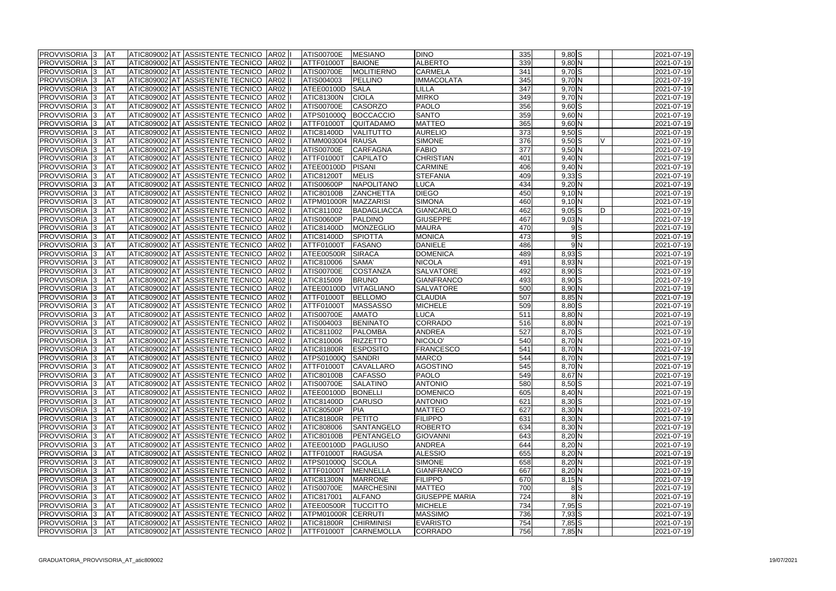| PROVVISORIA 3                                | <b>AT</b>              |  | ATIC809002 AT ASSISTENTE TECNICO AR02                                               |             | ATIS00700E               | <b>MESIANO</b>                    | <b>DINO</b>           | 335 | $9,80$ $S$             |   |  |
|----------------------------------------------|------------------------|--|-------------------------------------------------------------------------------------|-------------|--------------------------|-----------------------------------|-----------------------|-----|------------------------|---|--|
| <b>PROVVISORIA 3</b>                         | <b>AT</b>              |  | ATIC809002 AT ASSISTENTE TECNICO                                                    | <b>AR02</b> | ATTF01000T               | <b>BAIONE</b>                     | <b>ALBERTO</b>        | 339 | 9,80 N                 |   |  |
| <b>PROVVISORIA 3</b>                         | AT                     |  | ATIC809002 AT ASSISTENTE TECNICO                                                    | <b>AR02</b> | ATIS00700E               | MOLITIERNO                        | <b>CARMELA</b>        | 341 | 9,70S                  |   |  |
| PROVVISORIA 3                                | <b>AT</b>              |  | ATIC809002 AT ASSISTENTE TECNICO                                                    | <b>AR02</b> | ATIS004003               | PELLINO                           | <b>IMMACOLATA</b>     | 345 | $9,70$ N               |   |  |
| PROVVISORIA 3                                | <b>AT</b>              |  | ATIC809002 AT ASSISTENTE TECNICO                                                    | AR02        | ATEE00100D               | <b>SALA</b>                       | <b>LILLA</b>          | 347 | $9,70$ N               |   |  |
| PROVVISORIA <sup>1</sup> 3                   | <b>AT</b>              |  | ATIC809002 AT ASSISTENTE TECNICO                                                    | <b>AR02</b> | <b>ATIC81300N</b>        | <b>CIOLA</b>                      | <b>MIRKO</b>          | 349 | $9,70\overline{\rm N}$ |   |  |
| PROVVISORIA 3                                | <b>AT</b>              |  | ATIC809002 AT ASSISTENTE TECNICO                                                    | <b>AR02</b> | <b>ATIS00700E</b>        | <b>CASORZO</b>                    | <b>PAOLO</b>          | 356 | $9,60$ $S$             |   |  |
| PROVVISORIA 3                                | AT                     |  | ATIC809002 AT ASSISTENTE TECNICO                                                    | AR02        | ATPS01000Q               | BOCCACCIO                         | <b>SANTO</b>          | 359 | 9,60 N                 |   |  |
| <b>PROVVISORIA</b> 3                         | AT                     |  | ATIC809002 AT ASSISTENTE TECNICO                                                    | <b>AR02</b> | ATTF01000T               | <b>QUITADAMO</b>                  | <b>MATTEO</b>         | 365 | 9,60 N                 |   |  |
| PROVVISORIA <sup>1</sup> 3                   | AT                     |  | ATIC809002 AT ASSISTENTE TECNICO                                                    | AR02        | <b>ATIC81400D</b>        | VALITUTTO                         | <b>AURELIO</b>        | 373 | $9,50$ S               |   |  |
| PROVVISORIA <sup>1</sup> 3                   | AT                     |  | ATIC809002 AT ASSISTENTE TECNICO                                                    | AR02        | ATMM003004               | <b>RAUSA</b>                      | <b>SIMONE</b>         | 376 | $9,50$ S               |   |  |
| <b>PROVVISORIA 3</b>                         | <b>AT</b>              |  | ATIC809002 AT ASSISTENTE TECNICO                                                    | AR02        | <b>ATIS00700E</b>        | CARFAGNA                          | <b>FABIO</b>          | 377 | $9,50$ N               |   |  |
| <b>PROVVISORIA</b><br>-13                    | AT                     |  | ATIC809002 AT ASSISTENTE TECNICO                                                    | <b>AR02</b> | <b>ATTF01000T</b>        | <b>CAPILATO</b>                   | <b>CHRISTIAN</b>      | 401 | $9,40$ N               |   |  |
| PROVVISORIA <sup>1</sup> 3                   | AT                     |  | ATIC809002 AT ASSISTENTE TECNICO                                                    | AR02        | ATEE00100D               | PISANI                            | <b>CARMINE</b>        | 406 | $9,40$ N               |   |  |
| PROVVISORIA 3                                | AT                     |  | ATIC809002 AT ASSISTENTE TECNICO                                                    | AR02        | <b>ATIC81200T</b>        | <b>MELIS</b>                      | <b>STEFANIA</b>       | 409 | $9,33$ $S$             |   |  |
| PROVVISORIA <sup>1</sup> 3                   | AT                     |  | ATIC809002 AT ASSISTENTE TECNICO                                                    | AR02        | ATIS00600P               | <b>NAPOLITANO</b>                 | <b>LUCA</b>           | 434 | $9,20$ N               |   |  |
| PROVVISORIA 3                                | <b>AT</b>              |  | ATIC809002 AT ASSISTENTE TECNICO                                                    | <b>AR02</b> | ATIC80100B               | <b>ZANCHETTA</b>                  | <b>DIEGO</b>          | 450 | 9,10 N                 |   |  |
| PROVVISORIA 3                                | <b>AT</b>              |  | ATIC809002 AT ASSISTENTE TECNICO                                                    | AR02        | ATPM01000R               | MAZZARISI                         | <b>SIMONA</b>         | 460 | $9,10$ N               |   |  |
| <b>PROVVISORIA 3</b>                         | AT                     |  | ATIC809002 AT ASSISTENTE TECNICO                                                    | AR02        | ATIC811002               | <b>BADAGLIACCA</b>                | <b>GIANCARLO</b>      | 462 | $9,05$ $S$             | D |  |
| PROVVISORIA 3                                | <b>AT</b>              |  | ATIC809002 AT ASSISTENTE TECNICO                                                    | AR02        | ATIS00600P               | PALDINO                           | <b>GIUSEPPE</b>       | 467 | $9,03$ N               |   |  |
| <b>PROVVISORIA</b>                           | <b>AT</b>              |  | ATIC809002 AT ASSISTENTE TECNICO                                                    | AR02        | <b>ATIC81400D</b>        | <b>MONZEGLIO</b>                  | <b>MAURA</b>          | 470 | 9S                     |   |  |
| <b>PROVVISORIA</b>                           | <b>AT</b>              |  | ATIC809002 AT ASSISTENTE TECNICO                                                    | AR02        | <b>ATIC81400D</b>        | <b>SPIOTTA</b>                    | <b>MONICA</b>         | 473 | 9S                     |   |  |
| <b>PROVVISORIA</b> 3                         | <b>AT</b>              |  | ATIC809002 AT ASSISTENTE TECNICO                                                    | <b>AR02</b> | <b>ATTF01000T</b>        | FASANO                            | <b>DANIELE</b>        | 486 | 9N                     |   |  |
| PROVVISORIA 3                                | <b>J</b> AT            |  | ATIC809002 AT ASSISTENTE TECNICO                                                    | AR02        | ATEE00500R               | <b>SIRACA</b>                     | <b>DOMENICA</b>       | 489 | 8,93 S                 |   |  |
| PROVVISORIA 3                                | <b>J</b> AT            |  | ATIC809002 AT ASSISTENTE TECNICO                                                    | AR02        | ATIC810006               | SAMA'                             | <b>NICOLA</b>         | 491 | 8,93 N                 |   |  |
| PROVVISORIA <sup>1</sup> 3                   | <b>J</b> AT            |  | ATIC809002 AT ASSISTENTE TECNICO                                                    | <b>AR02</b> | <b>ATIS00700E</b>        | <b>COSTANZA</b>                   | <b>SALVATORE</b>      | 492 | 8,90 S                 |   |  |
| PROVVISORIA 3                                | AT                     |  | ATIC809002 AT ASSISTENTE TECNICO                                                    | <b>AR02</b> | ATIC815009               | <b>BRUNO</b>                      | GIANFRANCO            | 493 | 8,90 S                 |   |  |
| <b>PROVVISORIA 3</b>                         | <b>AT</b>              |  | ATIC809002 AT ASSISTENTE TECNICO                                                    | <b>AR02</b> | ATEE00100D               | <b>VITAGLIANO</b>                 | <b>SALVATORE</b>      | 500 | 8,90 N                 |   |  |
| <b>PROVVISORIA 3</b>                         | <b>J</b> AT            |  | ATIC809002 AT ASSISTENTE TECNICO                                                    | AR02        | <b>ATTF01000T</b>        | BELLOMO                           | <b>CLAUDIA</b>        | 507 | 8,85 N                 |   |  |
| PROVVISORIA<br>-13                           | <b>AT</b>              |  | ATIC809002 AT ASSISTENTE TECNICO                                                    | <b>AR02</b> | <b>ATTF01000T</b>        | <b>MASSASSO</b>                   | <b>MICHELE</b>        | 509 | $8,80$ $S$             |   |  |
| <b>PROVVISORIA 3</b>                         | <b>J</b> AT            |  | ATIC809002 AT ASSISTENTE TECNICO                                                    | <b>AR02</b> | <b>ATIS00700E</b>        | <b>AMATO</b>                      | <b>LUCA</b>           | 511 | $8,80$ N               |   |  |
| PROVVISORIA 3                                | AT                     |  | ATIC809002 AT ASSISTENTE TECNICO                                                    | <b>AR02</b> | ATIS004003               | <b>BENINATO</b>                   | <b>CORRADO</b>        | 516 | $8,80$ N               |   |  |
| PROVVISORIA <sup>1</sup> 3                   | <b>J</b> AT            |  | ATIC809002 AT ASSISTENTE TECNICO                                                    | AR02        | ATIC811002               | <b>PALOMBA</b>                    | <b>ANDREA</b>         | 527 | 8,70 S                 |   |  |
| PROVVISORIA 3                                | <b>AT</b>              |  | ATIC809002 AT ASSISTENTE TECNICO                                                    | AR02        | ATIC810006               | <b>RIZZETTO</b>                   | NICOLO'               | 540 | $8,70$ N               |   |  |
| <b>PROVVISORIA 3</b>                         | <b>AT</b>              |  | ATIC809002 AT ASSISTENTE TECNICO                                                    | <b>AR02</b> | ATIC81800R               | <b>ESPOSITO</b>                   | <b>FRANCESCO</b>      | 541 | 8,70 N                 |   |  |
| <b>PROVVISORIA 3</b>                         | <b>AT</b>              |  | ATIC809002 AT ASSISTENTE TECNICO                                                    | AR02        | ATPS01000Q               | SANDRI                            | <b>MARCO</b>          | 544 | 8,70 N                 |   |  |
| <b>PROVVISORIA</b> 13                        |                        |  | ATIC809002 AT ASSISTENTE TECNICO AR02 II                                            |             | ATTF01000T               | <b>ICAVALLARO</b>                 | <b>AGOSTINO</b>       | 545 | $8,70\,N$              |   |  |
| <b>PROVVISORIA</b> 3                         | -IA I<br><b>JAT</b>    |  | ATIC809002 AT ASSISTENTE TECNICO  AR02                                              |             | <b>ATIC80100B</b>        | <b>CAFASSO</b>                    | <b>PAOLO</b>          | 549 | $8,67$ N               |   |  |
| <b>PROVVISORIA</b> 3                         | <b>JAT</b>             |  | ATIC809002 AT ASSISTENTE TECNICO  AR02  I                                           |             | <b>ATIS00700E</b>        | <b>SALATINO</b>                   | <b>ANTONIO</b>        | 580 | $8,50$ S               |   |  |
| <b>PROVVISORIA</b> 3                         | <b>JAT</b>             |  | ATIC809002 AT ASSISTENTE TECNICO AR02 II                                            |             | <b>ATEE00100D</b>        | <b>BONELLI</b>                    | <b>DOMENICO</b>       | 605 | $8,40$ N               |   |  |
| <b>PROVVISORIA</b> 3                         | <b>JAT</b>             |  | ATIC809002 AT ASSISTENTE TECNICO AR02  I                                            |             | <b>ATIC81400D</b>        | <b>CARUSO</b>                     | <b>ANTONIO</b>        | 621 | 8,30 S                 |   |  |
| <b>PROVVISORIA</b> 3                         | <b>JAT</b>             |  | ATIC809002 AT ASSISTENTE TECNICO AR02                                               |             | ATIC80500P               | <b>PIA</b>                        | <b>MATTEO</b>         | 627 | $8,30$ N               |   |  |
| <b>PROVVISORIA</b> 3                         | <b>JAT</b>             |  | ATIC809002 AT ASSISTENTE TECNICO   AR02                                             |             | ATIC81800R               | <b>PETITO</b>                     | <b>FILIPPO</b>        | 631 | $8,30$ N               |   |  |
| <b>PROVVISORIA</b> 3                         | <b>JAT</b>             |  | ATIC809002 AT ASSISTENTE TECNICO  AR02  I                                           |             | ATIC808006               | SANTANGELO                        | <b>ROBERTO</b>        | 634 | $8,30$ N               |   |  |
| <b>PROVVISORIA 3</b>                         | <b>JAT</b>             |  | ATIC809002 AT ASSISTENTE TECNICO  AR02  I                                           |             | <b>ATIC80100B</b>        | PENTANGELO                        | <b>GIOVANNI</b>       | 643 | $8,20$ N               |   |  |
| <b>PROVVISORIA 3</b>                         | <b>JAT</b>             |  | ATIC809002 AT ASSISTENTE TECNICO   AR02   I                                         |             | ATEE00100D               | PAGLIUSO                          | <b>ANDREA</b>         | 644 | $8,20$ N               |   |  |
| <b>PROVVISORIA 3</b>                         | <b>JAT</b>             |  | ATIC809002 AT ASSISTENTE TECNICO AR02                                               |             | ATTF01000T               | <b>RAGUSA</b>                     | <b>ALESSIO</b>        | 655 | $8,20$ N               |   |  |
| <b>PROVVISORIA</b> 3                         | <b>JAT</b>             |  | ATIC809002 AT ASSISTENTE TECNICO AR02 II                                            |             | <b>ATPS01000Q</b>        | SCOLA                             | <b>SIMONE</b>         | 658 | $8,20$ N               |   |  |
| <b>PROVVISORIA 3</b>                         | <b>JAT</b>             |  | ATIC809002 AT ASSISTENTE TECNICO AR02                                               |             | ATTF01000T               | MENNELLA                          | GIANFRANCO            | 667 | $8,20$ N               |   |  |
| <b>PROVVISORIA 3</b>                         | <b>AT</b>              |  | ATIC809002 AT ASSISTENTE TECNICO AR02                                               |             | <b>ATIC81300N</b>        | <b>MARRONE</b>                    | <b>FILIPPO</b>        | 670 | 8,15 N                 |   |  |
| <b>PROVVISORIA 3</b>                         | <b>AT</b>              |  | ATIC809002 AT ASSISTENTE TECNICO AR02                                               |             | <b>ATIS00700E</b>        | <b>MARCHESINI</b>                 | <b>MATTEO</b>         | 700 | 8S                     |   |  |
|                                              |                        |  | ATIC809002 AT ASSISTENTE TECNICO   AR02                                             |             | <b>ATIC817001</b>        | <b>ALFANO</b>                     | <b>GIUSEPPE MARIA</b> | 724 | 8N                     |   |  |
| <b>PROVVISORIA 3</b><br><b>PROVVISORIA 3</b> | <b>AT</b>              |  |                                                                                     |             |                          |                                   | <b>MICHELE</b>        | 734 | $7,95$ $S$             |   |  |
| <b>PROVVISORIA</b> 3                         | <b>AT</b><br><b>AT</b> |  | ATIC809002 AT ASSISTENTE TECNICO  AR02  <br>ATIC809002 AT ASSISTENTE TECNICO   AR02 |             | ATEE00500R<br>ATPM01000R | <b>TUCCITTO</b><br><b>CERRUTI</b> | <b>MASSIMO</b>        | 736 | 7,93 S                 |   |  |
| <b>PROVVISORIA</b> 3                         | <b>JAT</b>             |  | ATIC809002 AT ASSISTENTE TECNICO   AR02                                             |             | ATIC81800R               | <b>CHIRMINISI</b>                 | <b>EVARISTO</b>       | 754 | $7,85$ $S$             |   |  |
|                                              |                        |  |                                                                                     |             |                          |                                   |                       |     |                        |   |  |
| PROVVISORIA 3                                | <b>JAT</b>             |  | ATIC809002 AT ASSISTENTE TECNICO AR02  I                                            |             | <b>ATTF01000T</b>        | <b>CARNEMOLLA</b>                 | <b>CORRADO</b>        | 756 | 7,85 N                 |   |  |

|                                                               |   | 2021-07-19       |
|---------------------------------------------------------------|---|------------------|
|                                                               |   | 2021-07-19       |
|                                                               |   | 2021-07-19       |
|                                                               |   | 2021-07-19       |
|                                                               |   | 2021-07-19       |
|                                                               |   | 2021-07-19       |
|                                                               |   | 2021-07-19       |
|                                                               |   | 2021-07-19       |
|                                                               |   | 2021-07-19       |
|                                                               |   | 2021-07-19       |
|                                                               | V | 2021-07-19       |
|                                                               |   | 2021-07-19       |
| $\overline{\mathsf{N}}$                                       |   | 2021-07-19       |
| $\overline{\mathsf{N}}$                                       |   | 2021-07-19       |
| $\overline{\mathsf{S}}$                                       |   | 2021-07-19       |
| N                                                             |   | 2021-07-19       |
| N                                                             |   | 2021-07-19       |
|                                                               |   | 2021-07-19       |
|                                                               | D | 2021-07-19       |
|                                                               |   | 2021-07-19       |
|                                                               |   | 2021-07-19       |
|                                                               |   |                  |
|                                                               |   | 2021-07-19       |
|                                                               |   | 2021-07-19       |
|                                                               |   | 2021-07-19       |
|                                                               |   | 2021-07-19       |
|                                                               |   | 2021-07-19       |
|                                                               |   | 2021-07-19       |
| $\overline{\mathsf{N}}$                                       |   | 2021-07-19       |
| $\overline{\sf N}$                                            |   | 2021-07-19       |
| $\overline{\mathsf{S}}$                                       |   | 2021-07-19       |
| $\overline{\mathsf{N}}$                                       |   | 2021-07-19       |
| $\overline{\mathsf{N}}$                                       |   | 2021-07-19       |
| $\overline{\mathsf{s}}$                                       |   | 2021-07-19       |
| N                                                             |   | 2021-07-19       |
| $\overline{\mathsf{N}}$                                       |   | 2021-07-19       |
| $\overline{\mathsf{N}}$                                       |   | 2021-07-19       |
| $\overline{\mathsf{N}}$                                       |   | 2021-07-19       |
|                                                               |   | 2021-07-19       |
|                                                               |   | 2021-07-19       |
|                                                               |   | 2021-07-19       |
| Z   Z   Z   Z   (0   Z   (0   Z                               |   | 2021-07-19       |
|                                                               |   | 2021-07-19       |
|                                                               |   | 2021-07-19       |
|                                                               |   | 2021-07-19       |
|                                                               |   | 2021-07-19       |
|                                                               |   | 2021-07-19       |
| $\overline{\mathsf{N}}$                                       |   | 2021-07-19       |
| $\overline{\mathsf{N}}$                                       |   | 2021-07-19       |
|                                                               |   | 2021-07-19       |
|                                                               |   | 2021-07-19       |
|                                                               |   | $2021 - 07 - 19$ |
|                                                               |   | 2021-07-19       |
|                                                               |   | 2021-07-19       |
|                                                               |   | $2021 - 07 - 19$ |
|                                                               |   | 2021-07-19       |
| $\frac{1}{2}$ o $\frac{1}{2}$ o $\frac{1}{2}$ o $\frac{1}{2}$ |   | 2021-07-19       |
|                                                               |   |                  |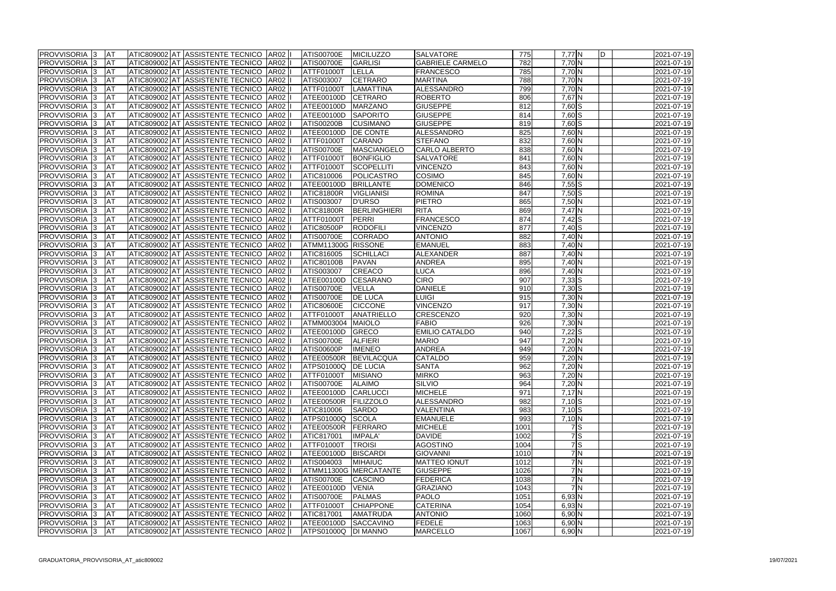| <b>PROVVISORIA</b> 3       | <b>AT</b>   |  | ATIC809002 AT ASSISTENTE TECNICO   AR02   I |             | <b>ATIS00700E</b>   | MICILUZZO             | <b>SALVATORE</b>        | 775  | 7,77 N                    |       | ID |
|----------------------------|-------------|--|---------------------------------------------|-------------|---------------------|-----------------------|-------------------------|------|---------------------------|-------|----|
| <b>PROVVISORIA 3</b>       | <b>AT</b>   |  | ATIC809002 AT ASSISTENTE TECNICO            | AR02   I    | <b>ATIS00700E</b>   | <b>GARLISI</b>        | <b>GABRIELE CARMELO</b> | 782  | 7,70 N                    |       |    |
| <b>PROVVISORIA 3</b>       | <b>J</b> AT |  | ATIC809002 AT ASSISTENTE TECNICO            | <b>AR02</b> | <b>ATTF01000T</b>   | <b>LELLA</b>          | <b>FRANCESCO</b>        | 785  | 7,70 N                    |       |    |
| <b>PROVVISORIA 3</b>       | <b>AT</b>   |  | ATIC809002 AT ASSISTENTE TECNICO            | <b>AR02</b> | ATIS003007          | <b>CETRARO</b>        | <b>MARTINA</b>          | 788  | 7,70 N                    |       |    |
| PROVVISORIA 3              | <b>AT</b>   |  | ATIC809002 AT ASSISTENTE TECNICO            | AR02        | ATTF01000T          | <b>LAMATTINA</b>      | ALESSANDRO              | 799  | 7,70 N                    |       |    |
| <b>PROVVISORIA 3</b>       | <b>AT</b>   |  | ATIC809002 AT ASSISTENTE TECNICO            | <b>AR02</b> | ATEE00100D          | <b>CETRARO</b>        | <b>ROBERTO</b>          | 806  | 7,67 N                    |       |    |
| PROVVISORIA 3              | <b>AT</b>   |  | ATIC809002 AT ASSISTENTE TECNICO            | <b>AR02</b> | ATEE00100D          | <b>MARZANO</b>        | <b>GIUSEPPE</b>         | 812  | 7,60 S                    |       |    |
| PROVVISORIA <sup>1</sup> 3 | <b>AT</b>   |  | ATIC809002 AT ASSISTENTE TECNICO            | AR02        | ATEE00100D          | SAPORITO              | <b>GIUSEPPE</b>         | 814  | 7,60 S                    |       |    |
| PROVVISORIA 3              | <b>AT</b>   |  | ATIC809002 AT ASSISTENTE TECNICO            | <b>AR02</b> | <b>ATIS00200B</b>   | <b>CUSIMANO</b>       | <b>GIUSEPPE</b>         | 819  | 7,60 S                    |       |    |
| PROVVISORIA 3              | <b>J</b> AT |  | ATIC809002 AT ASSISTENTE TECNICO            | AR02        | ATEE00100D          | <b>DE CONTE</b>       | ALESSANDRO              | 825  | 7,60 N                    |       |    |
| PROVVISORIA 3              | <b>AT</b>   |  | ATIC809002 AT ASSISTENTE TECNICO            | <b>AR02</b> | <b>ATTF01000T</b>   | <b>CARANO</b>         | <b>STEFANO</b>          | 832  | 7,60 N                    |       |    |
| <b>PROVVISORIA</b> 3       | <b>AT</b>   |  | ATIC809002 AT ASSISTENTE TECNICO            | AR02        | <b>ATIS00700E</b>   | <b>MASCIANGELO</b>    | <b>CARLO ALBERTO</b>    | 838  | 7,60 N                    |       |    |
| PROVVISORIA 3              | <b>AT</b>   |  | ATIC809002 AT ASSISTENTE TECNICO            | AR02        | ATTF01000T          | <b>BONFIGLIO</b>      | <b>SALVATORE</b>        | 841  | 7,60 N                    |       |    |
| <b>PROVVISORIA 3</b>       | <b>J</b> AT |  | ATIC809002 AT ASSISTENTE TECNICO            | <b>AR02</b> | ATTF01000T          | <b>SCOPELLITI</b>     | <b>VINCENZO</b>         | 843  | 7,60 N                    |       |    |
| PROVVISORIA 3              | <b>AT</b>   |  | ATIC809002 AT ASSISTENTE TECNICO            | AR02        | ATIC810006          | POLICASTRO            | <b>COSIMO</b>           | 845  | 7,60 N                    |       |    |
| <b>PROVVISORIA 3</b>       | <b>AT</b>   |  | ATIC809002 AT ASSISTENTE TECNICO            | AR02        | ATEE00100D          | <b>BRILLANTE</b>      | <b>DOMENICO</b>         | 846  | $7,55$ $S$                |       |    |
|                            |             |  |                                             |             |                     | <b>VIGLIANISI</b>     | <b>ROMINA</b>           | 847  |                           |       |    |
| PROVVISORIA 3              | AT          |  | ATIC809002 AT ASSISTENTE TECNICO            | AR02        | <b>ATIC81800R</b>   |                       |                         |      | $7,50$ $S$                |       |    |
| PROVVISORIA <sup>1</sup> 3 | <b>AT</b>   |  | ATIC809002 AT ASSISTENTE TECNICO            | AR02        | ATIS003007          | <b>D'URSO</b>         | <b>PIETRO</b>           | 865  | 7,50 N                    |       |    |
| PROVVISORIA <sup>1</sup> 3 | <b>AT</b>   |  | ATIC809002 AT ASSISTENTE TECNICO            | <b>AR02</b> | <b>ATIC81800R</b>   | <b>BERLINGHIERI</b>   | <b>RITA</b>             | 869  | $7,47$ N                  |       |    |
| PROVVISORIA 3              | <b>AT</b>   |  | ATIC809002 AT ASSISTENTE TECNICO            | AR02        | ATTF01000T          | PERRI                 | <b>FRANCESCO</b>        | 874  | $7,42$ $S$                |       |    |
| <b>PROVVISORIA 3</b>       | AT          |  | ATIC809002 AT ASSISTENTE TECNICO            | AR02        | ATIC80500P          | <b>RODOFILI</b>       | <b>VINCENZO</b>         | 877  | $7,40$ S                  |       |    |
| <b>PROVVISORIA 3</b>       | <b>AT</b>   |  | ATIC809002 AT ASSISTENTE TECNICO            | AR02        | ATIS00700E          | <b>CORRADO</b>        | <b>ANTONIO</b>          | 882  | 7,40 N                    |       |    |
| <b>PROVVISORIA 3</b>       | <b>AT</b>   |  | ATIC809002 AT ASSISTENTE TECNICO            | AR02        | ATMM11300G RISSONE  |                       | <b>EMANUEL</b>          | 883  | 7,40 N                    |       |    |
| <b>PROVVISORIA</b>         | <b>AT</b>   |  | ATIC809002 AT ASSISTENTE TECNICO            | AR02        | ATIC816005          | <b>SCHILLACI</b>      | ALEXANDER               | 887  | 7,40 N                    |       |    |
| PROVVISORIA <sup>1</sup> 3 | <b>AT</b>   |  | ATIC809002 AT ASSISTENTE TECNICO            | <b>AR02</b> | <b>ATIC80100B</b>   | <b>PAVAN</b>          | <b>ANDREA</b>           | 895  | 7,40 N                    |       |    |
| PROVVISORIA 3              | <b>AT</b>   |  | ATIC809002 AT ASSISTENTE TECNICO            | AR02        | <b>ATIS003007</b>   | <b>CREACO</b>         | <b>LUCA</b>             | 896  | 7,40 N                    |       |    |
| PROVVISORIA 3              | <b>J</b> AT |  | ATIC809002 AT ASSISTENTE TECNICO            | AR02        | <b>ATEE00100D</b>   | <b>CESARANO</b>       | <b>CIRO</b>             | 907  | $7,33$ $S$                |       |    |
| <b>PROVVISORIA 3</b>       | <b>J</b> AT |  | ATIC809002 AT ASSISTENTE TECNICO            | <b>AR02</b> | <b>ATIS00700E</b>   | <b>VELLA</b>          | <b>DANIELE</b>          | 910  | $7,30$ S                  |       |    |
| PROVVISORIA 3              | <b>J</b> AT |  | ATIC809002 AT ASSISTENTE TECNICO            | <b>AR02</b> | <b>ATIS00700E</b>   | <b>DE LUCA</b>        | LUIGI                   | 915  | 7,30 N                    |       |    |
| <b>PROVVISORIA 3</b>       | <b>AT</b>   |  | ATIC809002 AT ASSISTENTE TECNICO            | <b>AR02</b> | <b>ATIC80600E</b>   | <b>CICCONE</b>        | <b>VINCENZO</b>         | 917  | 7,30 N                    |       |    |
| <b>PROVVISORIA 3</b>       | <b>J</b> AT |  | ATIC809002 AT ASSISTENTE TECNICO            | <b>AR02</b> | ATTF01000T          | ANATRIELLO            | <b>CRESCENZO</b>        | 920  | 7,30 N                    |       |    |
| PROVVISORIA 3              | <b>AT</b>   |  | ATIC809002 AT ASSISTENTE TECNICO            | <b>AR02</b> | ATMM003004          | MAIOLO                | <b>FABIO</b>            | 926  | $7,30$ N                  |       |    |
| <b>PROVVISORIA 3</b>       | <b>J</b> AT |  | ATIC809002 AT ASSISTENTE TECNICO            | <b>AR02</b> | ATEE00100D          | GRECO                 | <b>EMILIO CATALDO</b>   | 940  | $7,22$ S                  |       |    |
| <b>PROVVISORIA 3</b>       | <b>AT</b>   |  | ATIC809002 AT ASSISTENTE TECNICO            | <b>AR02</b> | ATIS00700E          | <b>ALFIERI</b>        | <b>MARIO</b>            | 947  | 7,20 N                    |       |    |
| PROVVISORIA 3              | <b>J</b> AT |  | ATIC809002 AT ASSISTENTE TECNICO            | AR02        | <b>ATIS00600P</b>   | <b>IMENEO</b>         | <b>ANDREA</b>           | 949  | 7,20 N                    |       |    |
| <b>PROVVISORIA 3</b>       | <b>AT</b>   |  | ATIC809002 AT ASSISTENTE TECNICO AR02       |             | ATEE00500R          | BEVILACQUA            | <b>CATALDO</b>          | 959  | 7,20 N                    |       |    |
| PROVVISORIA 3              | AT          |  | ATIC809002 AT ASSISTENTE TECNICO AR02  I    |             | ATPS01000Q DE LUCIA |                       | <b>SANTA</b>            | 962  | $7,20$ N                  |       |    |
| <b>PROVVISORIA</b> 3       | <b>JAT</b>  |  | ATIC809002 AT ASSISTENTE TECNICO AR02 II    |             | ATTF01000T          | <b>MISIANO</b>        | <b>MIRKO</b>            | 963  | $7,20$ N                  |       |    |
| <b>PROVVISORIA</b> 3       | <b>AT</b>   |  | ATIC809002 AT ASSISTENTE TECNICO   AR02     |             | ATIS00700E          | <b>ALAIMO</b>         | <b>SILVIO</b>           | 964  | $7,20$ N                  |       |    |
| <b>PROVVISORIA 3</b>       | <b>JAT</b>  |  | ATIC809002 AT ASSISTENTE TECNICO   AR02     |             | ATEE00100D          | CARLUCCI              | <b>MICHELE</b>          | 971  | $7,17$ N                  |       |    |
| <b>PROVVISORIA 3</b>       | <b>AT</b>   |  | ATIC809002 AT ASSISTENTE TECNICO   AR02     |             | ATEE00500R          | <b>FILIZZOLO</b>      | ALESSANDRO              | 982  | $7,10$ S                  |       |    |
| <b>PROVVISORIA 3</b>       | <b>AT</b>   |  | ATIC809002 AT ASSISTENTE TECNICO AR02       |             | ATIC810006          | <b>SARDO</b>          | <b>VALENTINA</b>        | 983  | $7,10$ S                  |       |    |
| <b>PROVVISORIA</b> 3       | <b>JAT</b>  |  | ATIC809002 AT ASSISTENTE TECNICO   AR02     |             | ATPS01000Q          | SCOLA                 | <b>EMANUELE</b>         | 993  | $7,10$ N                  |       |    |
| <b>PROVVISORIA</b> 3       | <b>JAT</b>  |  | ATIC809002 AT ASSISTENTE TECNICO   AR02     |             | ATEE00500R          | FERRARO               | <b>MICHELE</b>          | 1001 |                           | 7S    |    |
| <b>PROVVISORIA 3</b>       | <b>JAT</b>  |  | ATIC809002 AT ASSISTENTE TECNICO   AR02     |             | <b>ATIC817001</b>   | <b>IMPALA</b>         | <b>DAVIDE</b>           | 1002 |                           | 7S    |    |
| <b>PROVVISORIA</b> 3       | <b>JAT</b>  |  | ATIC809002 AT ASSISTENTE TECNICO  AR02  I   |             | ATTF01000T          | <b>TROISI</b>         | <b>AGOSTINO</b>         | 1004 |                           | $7$ S |    |
| <b>PROVVISORIA 3</b>       | <b>JAT</b>  |  | ATIC809002 AT ASSISTENTE TECNICO  AR02      |             | ATEE00100D          | <b>BISCARDI</b>       | <b>GIOVANNI</b>         | 1010 |                           | 7N    |    |
| <b>PROVVISORIA 3</b>       | <b>JAT</b>  |  | ATIC809002 AT ASSISTENTE TECNICO AR02       |             | ATIS004003          | <b>MIHAIUC</b>        | <b>MATTEO IONUT</b>     | 1012 |                           | 7N    |    |
| <b>PROVVISORIA 3</b>       | <b>JAT</b>  |  | ATIC809002 AT ASSISTENTE TECNICO AR02       |             |                     | ATMM11300G MERCATANTE | <b>GIUSEPPE</b>         | 1026 |                           | 7N    |    |
| <b>PROVVISORIA 3</b>       | <b>JAT</b>  |  | ATIC809002 AT ASSISTENTE TECNICO   AR02   I |             | ATIS00700E          | <b>CASCINO</b>        | <b>FEDERICA</b>         | 1038 |                           | 7N    |    |
| <b>PROVVISORIA 3</b>       | <b>JAT</b>  |  | ATIC809002 AT ASSISTENTE TECNICO AR02       |             | ATEE00100D          | <b>VENIA</b>          | <b>GRAZIANO</b>         | 1043 |                           | 7N    |    |
| <b>PROVVISORIA 3</b>       | <b>AT</b>   |  | ATIC809002 AT ASSISTENTE TECNICO AR02       |             | <b>ATIS00700E</b>   | <b>PALMAS</b>         | <b>PAOLO</b>            | 1051 | $6,93$ N                  |       |    |
| <b>PROVVISORIA 3</b>       | <b>AT</b>   |  | ATIC809002 AT ASSISTENTE TECNICO AR02       |             | ATTF01000T          | <b>CHIAPPONE</b>      | <b>CATERINA</b>         | 1054 | $6,93\overline{\text{N}}$ |       |    |
| <b>PROVVISORIA 3</b>       | <b>AT</b>   |  | ATIC809002 AT ASSISTENTE TECNICO   AR02     |             | <b>ATIC817001</b>   | <b>AMATRUDA</b>       | <b>ANTONIO</b>          | 1060 | $6,90$ N                  |       |    |
| <b>PROVVISORIA 3</b>       | <b>AT</b>   |  | ATIC809002 AT ASSISTENTE TECNICO   AR02     |             | ATEE00100D          | <b>SACCAVINO</b>      | <b>FEDELE</b>           | 1063 | $6,90$ N                  |       |    |
|                            |             |  |                                             |             |                     |                       | <b>MARCELLO</b>         |      |                           |       |    |
| <b>PROVVISORIA</b> 3       | <b>JAT</b>  |  | ATIC809002 AT ASSISTENTE TECNICO   AR02     |             | ATPS01000Q          | <b>DI MANNO</b>       |                         | 1067 | $6,90$ N                  |       |    |

| N                                                  | D | 2021-07-19       |
|----------------------------------------------------|---|------------------|
| $\overline{\mathsf{N}}$                            |   | 2021-07-19       |
|                                                    |   | 2021-07-19       |
|                                                    |   | 2021-07-19       |
|                                                    |   | 2021-07-19       |
|                                                    |   | 2021-07-19       |
|                                                    |   | 2021-07-19       |
|                                                    |   | 2021-07-19       |
| z  0  0  0  2  2                                   |   | 2021-07-19       |
|                                                    |   | 2021-07-19       |
| $\overline{\mathsf{N}}$                            |   | 2021-07-19       |
| $\overline{\mathsf{N}}$                            |   | 2021-07-19       |
| N                                                  |   | 2021-07-19       |
| $\overline{\mathsf{N}}$                            |   | 2021-07-19       |
| $\overline{\mathsf{N}}$                            |   | 2021-07-19       |
|                                                    |   | 2021-07-19       |
| $rac{S}{S}$                                        |   | 2021-07-19       |
|                                                    |   | 2021-07-19       |
|                                                    |   | 2021-07-19       |
|                                                    |   | 2021-07-19       |
| 22220022                                           |   | 2021-07-19       |
|                                                    |   | 2021-07-19       |
|                                                    |   | 2021-07-19       |
|                                                    |   | 2021-07-19       |
|                                                    |   | 2021-07-19       |
|                                                    |   | 2021-07-19       |
| $rac{N}{S}$                                        |   | 2021-07-19       |
|                                                    |   | 2021-07-19       |
| $\frac{\text{S}}{\text{N}}$                        |   | 2021-07-19       |
|                                                    |   | 2021-07-19       |
| $\overline{\mathsf{N}}$<br>$\overline{\mathsf{N}}$ |   | 2021-07-19       |
| N                                                  |   | 2021-07-19       |
|                                                    |   | $2021 - 07 - 19$ |
| $\overline{\mathsf{S}}$<br>N                       |   | 2021-07-19       |
|                                                    |   | 2021-07-19       |
| $\overline{\mathsf{N}}$<br>Ñ                       |   | 2021-07-19       |
|                                                    |   |                  |
| $\overline{\mathsf{N}}$                            |   | 2021-07-19       |
|                                                    |   | 2021-07-19       |
|                                                    |   | 2021-07-19       |
|                                                    |   | 2021-07-19       |
| z 2  0  0  2  0  0  2  2                           |   | 2021-07-19       |
|                                                    |   | 2021-07-19       |
|                                                    |   | 2021-07-19       |
|                                                    |   | 2021-07-19       |
|                                                    |   | 2021-07-19       |
|                                                    |   | 2021-07-19       |
|                                                    |   | 2021-07-19       |
|                                                    |   | 2021-07-19       |
| $\overline{\mathsf{N}}$                            |   | 2021-07-19       |
| $\overline{\mathsf{N}}$                            |   | 2021-07-19       |
| Z Z Z Z                                            |   | $2021 - 07 - 19$ |
|                                                    |   | 2021-07-19       |
|                                                    |   | 2021-07-19       |
|                                                    |   | 2021-07-19       |
|                                                    |   | 2021-07-19       |
|                                                    |   | 2021-07-19       |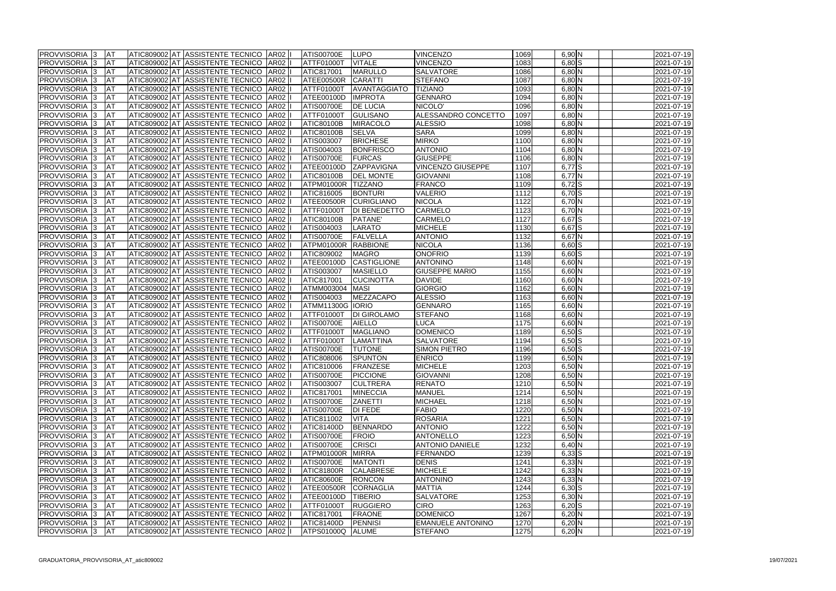| <b>PROVVISORIA 13</b>    | <b>JAT</b>  |  | ATIC809002 AT ASSISTENTE TECNICO  AR02   |             | ATIS00700E        | <b>LUPO</b>         | <b>VINCENZO</b>          | 1069 | $6,90$ N               |  |
|--------------------------|-------------|--|------------------------------------------|-------------|-------------------|---------------------|--------------------------|------|------------------------|--|
| <b>PROVVISORIA 3</b>     | <b>I</b> AT |  | ATIC809002 AT ASSISTENTE TECNICO         | <b>AR02</b> | <b>ATTF01000T</b> | <b>VITALE</b>       | <b>VINCENZO</b>          | 1083 | $6,80$ $S$             |  |
| PROVVISORIA 3            | <b>JAT</b>  |  | ATIC809002 AT ASSISTENTE TECNICO         | <b>AR02</b> | ATIC817001        | MARULLO             | <b>SALVATORE</b>         | 1086 | $6,80$ N               |  |
| PROVVISORIA 3            | <b>JAT</b>  |  | ATIC809002 AT ASSISTENTE TECNICO         | AR02        | ATEE00500R        | <b>CARATTI</b>      | <b>STEFANO</b>           | 1087 | $6,80$ N               |  |
| PROVVISORIA 3            | <b>IAT</b>  |  | ATIC809002 AT ASSISTENTE TECNICO         | AR02        | <b>ATTF01000T</b> | AVANTAGGIATO        | <b>TIZIANO</b>           | 1093 | 6,80 N                 |  |
| <b>PROVVISORIA 3</b>     | <b>I</b> AT |  | ATIC809002 AT ASSISTENTE TECNICO         | AR02        | ATEE00100D        | <b>IMPROTA</b>      | <b>GENNARO</b>           | 1094 | $6,80$ N               |  |
| PROVVISORIA 3            | IAT         |  | ATIC809002 AT ASSISTENTE TECNICO         | AR02        | <b>ATIS00700E</b> | <b>DE LUCIA</b>     | NICOLO'                  | 1096 | $6,80$ N               |  |
| <b>PROVVISORIA</b> 3     | <b>JAT</b>  |  | ATIC809002 AT ASSISTENTE TECNICO         | <b>AR02</b> | <b>ATTF01000T</b> | GULISANO            | ALESSANDRO CONCETTO      | 1097 | $6,80$ N               |  |
| <b>PROVVISORIA 3</b>     | <b>JAT</b>  |  | ATIC809002 AT ASSISTENTE TECNICO         | AR02        | <b>ATIC80100B</b> | MIRACOLO            | <b>ALESSIO</b>           | 1098 | $6,80$ N               |  |
| PROVVISORIA 3            | <b>I</b> AT |  | ATIC809002 AT ASSISTENTE TECNICO         | AR02        | ATIC80100B        | <b>SELVA</b>        | <b>SARA</b>              | 1099 | $6,80$ N               |  |
| PROVVISORIA 3            | <b>JAT</b>  |  | ATIC809002 AT ASSISTENTE TECNICO         | AR02        | ATIS003007        | <b>BRICHESE</b>     | <b>MIRKO</b>             | 1100 | 6,80 N                 |  |
| PROVVISORIA 3            | <b>JAT</b>  |  | ATIC809002 AT ASSISTENTE TECNICO         | AR02        | ATIS004003        | <b>BONFRISCO</b>    | <b>ANTONIO</b>           | 1104 | $6,80$ N               |  |
| <b>PROVVISORIA 3</b>     | <b>JAT</b>  |  | ATIC809002 AT ASSISTENTE TECNICO         | AR02        | ATIS00700E        | <b>FURCAS</b>       | <b>GIUSEPPE</b>          | 1106 | $6,80$ N               |  |
| <b>PROVVISORIA 3</b>     | <b>I</b> AT |  | ATIC809002 AT ASSISTENTE TECNICO         | AR02        | ATEE00100D        | ZAPPAVIGNA          | <b>VINCENZO GIUSEPPE</b> | 1107 | $6,77$ S               |  |
| <b>PROVVISORIA 3</b>     | IAT         |  | ATIC809002 AT ASSISTENTE TECNICO         | AR02        | <b>ATIC80100B</b> | <b>DEL MONTE</b>    | <b>GIOVANNI</b>          | 1108 | $6,77$ N               |  |
| PROVVISORIA 3            | <b>JAT</b>  |  | ATIC809002 AT ASSISTENTE TECNICO         | AR02        | ATPM01000R        | <b>TIZZANO</b>      | <b>FRANCO</b>            | 1109 | $6,72$ $S$             |  |
| PROVVISORIA 3            | <b>I</b> AT |  | ATIC809002 AT ASSISTENTE TECNICO         | AR02        | ATIC816005        | <b>BONTURI</b>      | <b>VALERIO</b>           | 1112 | $6,70$ $S$             |  |
|                          | <b>I</b> AT |  |                                          |             |                   |                     |                          | 1122 |                        |  |
| PROVVISORIA 3            |             |  | ATIC809002 AT ASSISTENTE TECNICO         | AR02        | ATEE00500R        | <b>CURIGLIANO</b>   | <b>NICOLA</b>            |      | 6,70 N                 |  |
| PROVVISORIA 3            | <b>I</b> AT |  | ATIC809002 AT ASSISTENTE TECNICO         | AR02        | ATTF01000T        | <b>DI BENEDETTO</b> | <b>CARMELO</b>           | 1123 | 6,70 N                 |  |
| PROVVISORIA 3            | <b>AT</b>   |  | ATIC809002 AT ASSISTENTE TECNICO         | AR02        | <b>ATIC80100B</b> | PATANE'             | <b>CARMELO</b>           | 1127 | $6,67$ $S$             |  |
| PROVVISORIA 3            | <b>I</b> AT |  | ATIC809002 AT ASSISTENTE TECNICO         | AR02        | ATIS004003        | <b>LARATO</b>       | <b>MICHELE</b>           | 1130 | $6,67$ $S$             |  |
| PROVVISORIA 3            | <b>I</b> AT |  | ATIC809002 AT ASSISTENTE TECNICO         | AR02        | <b>ATIS00700E</b> | FALVELLA            | <b>ANTONIO</b>           | 1132 | 6,67 N                 |  |
| <b>PROVVISORIA 3</b>     | <b>IAT</b>  |  | ATIC809002 AT ASSISTENTE TECNICO         | AR02        | ATPM01000R        | <b>RABBIONE</b>     | <b>NICOLA</b>            | 1136 | $6,60$ $S$             |  |
| <b>PROVVISORIA</b> 3     | <b>IAT</b>  |  | ATIC809002 AT ASSISTENTE TECNICO         | AR02        | ATIC809002        | <b>MAGRO</b>        | <b>ONOFRIO</b>           | 1139 | $6,60$ $S$             |  |
| <b>PROVVISORIA 3</b>     | <b>JAT</b>  |  | ATIC809002 AT ASSISTENTE TECNICO         | <b>AR02</b> | ATEE00100D        | <b>CASTIGLIONE</b>  | <b>ANTONINO</b>          | 1148 | 6,60 N                 |  |
| PROVVISORIA <sup>3</sup> | <b>JAT</b>  |  | ATIC809002 AT ASSISTENTE TECNICO         | AR02        | ATIS003007        | <b>MASIELLO</b>     | <b>GIUSEPPE MARIO</b>    | 1155 | 6,60 N                 |  |
| PROVVISORIA <sup>3</sup> | <b>JAT</b>  |  | ATIC809002 AT ASSISTENTE TECNICO         | <b>AR02</b> | ATIC817001        | <b>CUCINOTTA</b>    | <b>DAVIDE</b>            | 1160 | 6,60 N                 |  |
| PROVVISORIA <sup>3</sup> | <b>AT</b>   |  | ATIC809002 AT ASSISTENTE TECNICO         | AR02        | ATMM003004        | MASI                | GIORGIO                  | 1162 | 6,60 N                 |  |
| <b>PROVVISORIA 3</b>     | <b>AT</b>   |  | ATIC809002 AT ASSISTENTE TECNICO         | <b>AR02</b> | ATIS004003        | MEZZACAPO           | <b>ALESSIO</b>           | 1163 | 6,60 N                 |  |
| <b>PROVVISORIA 3</b>     | <b>AT</b>   |  | ATIC809002 AT ASSISTENTE TECNICO         | AR02        | ATMM11300G IORIO  |                     | <b>GENNARO</b>           | 1165 | 6,60 N                 |  |
| <b>PROVVISORIA 3</b>     | <b>JAT</b>  |  | ATIC809002 AT ASSISTENTE TECNICO         | <b>AR02</b> | <b>ATTF01000T</b> | <b>DI GIROLAMO</b>  | <b>STEFANO</b>           | 1168 | 6,60 N                 |  |
| <b>PROVVISORIA 3</b>     | <b>JAT</b>  |  | ATIC809002 AT ASSISTENTE TECNICO         | <b>AR02</b> | <b>ATIS00700E</b> | <b>AIELLO</b>       | LUCA                     | 1175 | $6,60$ N               |  |
| <b>PROVVISORIA 3</b>     | <b>JAT</b>  |  | ATIC809002 AT ASSISTENTE TECNICO         | <b>AR02</b> | <b>ATTF01000T</b> | MAGLIANO            | <b>DOMENICO</b>          | 1189 | $6,50$ $S$             |  |
| PROVVISORIA 3            | <b>I</b> AT |  | ATIC809002 AT ASSISTENTE TECNICO         | AR02        | ATTF01000T        | LAMATTINA           | <b>SALVATORE</b>         | 1194 | $6,50$ $S$             |  |
| PROVVISORIA 3            | <b>I</b> AT |  | ATIC809002 AT ASSISTENTE TECNICO         | AR02        | <b>ATIS00700E</b> | <b>TUTONE</b>       | SIMON PIETRO             | 1196 | $6,50$ $S$             |  |
| <b>PROVVISORIA 3</b>     | IAT         |  | ATIC809002 AT ASSISTENTE TECNICO         | AR02        | ATIC808006        | <b>SPUNTON</b>      | <b>ENRICO</b>            | 1199 | $6,50\overline{\rm N}$ |  |
| <b>PROVVISORIA 3 AT</b>  |             |  | ATIC809002 AT ASSISTENTE TECNICO AR02 II |             | ATIC810006        | FRANZESE            | <b>MICHELE</b>           | 1203 | $6,50$ N               |  |
| <b>PROVVISORIA</b> 3     | <b>JAT</b>  |  | ATIC809002 AT ASSISTENTE TECNICO AR02 I  |             | <b>ATIS00700E</b> | <b>PICCIONE</b>     | <b>GIOVANNI</b>          | 1208 | $6,50$ N               |  |
| <b>PROVVISORIA 3</b>     | <b>JAT</b>  |  | ATIC809002 AT ASSISTENTE TECNICO AR02    |             | ATIS003007        | <b>CULTRERA</b>     | <b>RENATO</b>            | 1210 | $6,50\,N$              |  |
| <b>PROVVISORIA 3</b>     | <b>JAT</b>  |  | ATIC809002 AT ASSISTENTE TECNICO         | <b>AR02</b> | <b>ATIC817001</b> | <b>MINECCIA</b>     | <b>MANUEL</b>            | 1214 | $6,50$ N               |  |
| <b>PROVVISORIA 3</b>     | <b>JAT</b>  |  | ATIC809002 AT ASSISTENTE TECNICO AR02    |             | ATIS00700E        | <b>ZANETTI</b>      | <b>MICHAEL</b>           | 1218 | $6,50$ N               |  |
| <b>PROVVISORIA</b> 3     | <b>JAT</b>  |  | ATIC809002 AT ASSISTENTE TECNICO AR02    |             | <b>ATIS00700E</b> | <b>DI FEDE</b>      | <b>FABIO</b>             | 1220 | $6,50$ N               |  |
| <b>PROVVISORIA</b> 3     | <b>AT</b>   |  | ATIC809002 AT ASSISTENTE TECNICO AR02    |             | ATIC811002        | <b>VITA</b>         | <b>ROSARIA</b>           | 1221 | $6,50$ N               |  |
| <b>PROVVISORIA 3</b>     | <b>JAT</b>  |  | ATIC809002 AT ASSISTENTE TECNICO   AR02  |             | <b>ATIC81400D</b> | <b>BENNARDO</b>     | <b>ANTONIO</b>           | 1222 | $6,50$ N               |  |
| <b>PROVVISORIA</b> 3     | <b>AT</b>   |  | ATIC809002 AT ASSISTENTE TECNICO AR02 I  |             | ATIS00700E        | FROIO               | <b>ANTONELLO</b>         | 1223 | $6,50$ N               |  |
| <b>PROVVISORIA 3</b>     | <b>JAT</b>  |  | ATIC809002 AT ASSISTENTE TECNICO AR02    |             | <b>ATIS00700E</b> | <b>CRISCI</b>       | <b>ANTONIO DANIELE</b>   | 1232 | $6,40$ N               |  |
| <b>PROVVISORIA</b> 3     | <b>JAT</b>  |  | ATIC809002 AT ASSISTENTE TECNICO   AR02  |             | ATPM01000R        | <b>MIRRA</b>        | FERNANDO                 | 1239 | $6,33$ $S$             |  |
| <b>PROVVISORIA 3</b>     | <b>JAT</b>  |  | ATIC809002 AT ASSISTENTE TECNICO   AR02  |             | ATIS00700E        | <b>MATONTI</b>      | <b>DENIS</b>             | 1241 | $6,33$ N               |  |
| <b>PROVVISORIA 3</b>     | <b>JAT</b>  |  | ATIC809002 AT ASSISTENTE TECNICO AR02    |             | ATIC81800R        | <b>CALABRESE</b>    | <b>MICHELE</b>           | 1242 | $6,33$ N               |  |
| <b>PROVVISORIA 3</b>     | <b>JAT</b>  |  | ATIC809002 AT ASSISTENTE TECNICO AR02    |             | <b>ATIC80600E</b> | <b>RONCON</b>       | ANTONINO                 | 1243 | $6,33$ N               |  |
| <b>PROVVISORIA 3</b>     | <b>JAT</b>  |  | ATIC809002 AT ASSISTENTE TECNICO AR02    |             | ATEE00500R        | <b>CORNAGLIA</b>    | <b>MATTIA</b>            | 1244 | $6,30$ S               |  |
| <b>PROVVISORIA 3</b>     | <b>JAT</b>  |  | ATIC809002 AT ASSISTENTE TECNICO AR02    |             | ATEE00100D        | <b>TIBERIO</b>      | <b>SALVATORE</b>         | 1253 | $6,30$ N               |  |
| <b>PROVVISORIA 3</b>     | <b>AT</b>   |  | ATIC809002 AT ASSISTENTE TECNICO   AR02  |             | ATTF01000T        | <b>RUGGIERO</b>     | <b>CIRO</b>              | 1263 | $6,20$ S               |  |
| <b>PROVVISORIA 3</b>     | <b>JAT</b>  |  | ATIC809002 AT ASSISTENTE TECNICO   AR02  |             | <b>ATIC817001</b> | <b>FRAONE</b>       | <b>DOMENICO</b>          | 1267 | $6,20$ N               |  |
| PROVVISORIA 3            | <b>JAT</b>  |  | ATIC809002 AT ASSISTENTE TECNICO AR02    |             | ATIC81400D        | <b>PENNISI</b>      | <b>EMANUELE ANTONINO</b> | 1270 | $6,20$ N               |  |
| <b>PROVVISORIA 3</b>     | <b>JAT</b>  |  | ATIC809002 AT ASSISTENTE TECNICO AR02    |             | ATPS01000Q        | <b>ALUME</b>        | <b>STEFANO</b>           | 1275 | $6,20$ N               |  |
|                          |             |  |                                          |             |                   |                     |                          |      |                        |  |

|                             |  | 2021-07-19               |
|-----------------------------|--|--------------------------|
| $\frac{N}{S}$               |  | 2021-07-19               |
|                             |  | 2021-07-19               |
|                             |  | 2021-07-19               |
|                             |  | 2021-07-19               |
| Z Z Z Z Z                   |  | 2021-07-19               |
|                             |  | 2021-07-19               |
|                             |  | 2021-07-19               |
|                             |  | 2021-07-19               |
| $\overline{\mathsf{N}}$     |  | 2021-07-19               |
| $\overline{\mathsf{N}}$     |  | 2021-07-19               |
| N                           |  | 2021-07-19               |
| N                           |  | 2021-07-19               |
| $\overline{\mathsf{S}}$     |  | 2021-07-19               |
| $\overline{\mathsf{N}}$     |  | 2021-07-19               |
|                             |  | 2021-07-19               |
| $rac{S}{S}$                 |  | 2021-07-19               |
| $\overline{\mathsf{N}}$     |  | 2021-07-19               |
|                             |  | 2021-07-19               |
| $ z $ (0 $ z $ (0 $ z $     |  | 2021-07-19               |
|                             |  | 2021-07-19               |
|                             |  | 2021-07-19               |
|                             |  | 2021-07-19               |
|                             |  | 2021-07-19               |
|                             |  | 2021-07-19               |
| $\overline{\mathsf{N}}$     |  | 2021-07-19               |
| $\overline{\mathsf{N}}$     |  | 2021-07-19               |
| N                           |  | 2021-07-19               |
| Ñ                           |  | 2021-07-19               |
| $\overline{\mathsf{N}}$     |  | 2021-07-19               |
| $\overline{\mathsf{N}}$     |  | 2021-07-19               |
| $\overline{\mathsf{N}}$     |  | 2021-07-19               |
|                             |  | 2021-07-19               |
|                             |  | 2021-07-19               |
| $\frac{\text{S}}{\text{S}}$ |  | 2021-07-19               |
| $\overline{\mathsf{N}}$     |  | 2021-07-19               |
| $\overline{\mathsf{N}}$     |  |                          |
|                             |  | 2021-07-19<br>2021-07-19 |
|                             |  | 2021-07-19               |
|                             |  | 2021-07-19               |
|                             |  | 2021-07-19               |
|                             |  | 2021-07-19               |
|                             |  | 2021-07-19               |
|                             |  | 2021-07-19               |
|                             |  | 2021-07-19               |
|                             |  |                          |
|                             |  | 2021-07-19<br>2021-07-19 |
|                             |  | 2021-07-19               |
|                             |  |                          |
|                             |  | 2021-07-19               |
|                             |  | 2021-07-19               |
|                             |  | $2021 - 07 - 19$         |
|                             |  | 2021-07-19               |
|                             |  | 2021-07-19               |
|                             |  | 2021-07-19               |
|                             |  | 2021-07-19               |
|                             |  | 2021-07-19               |